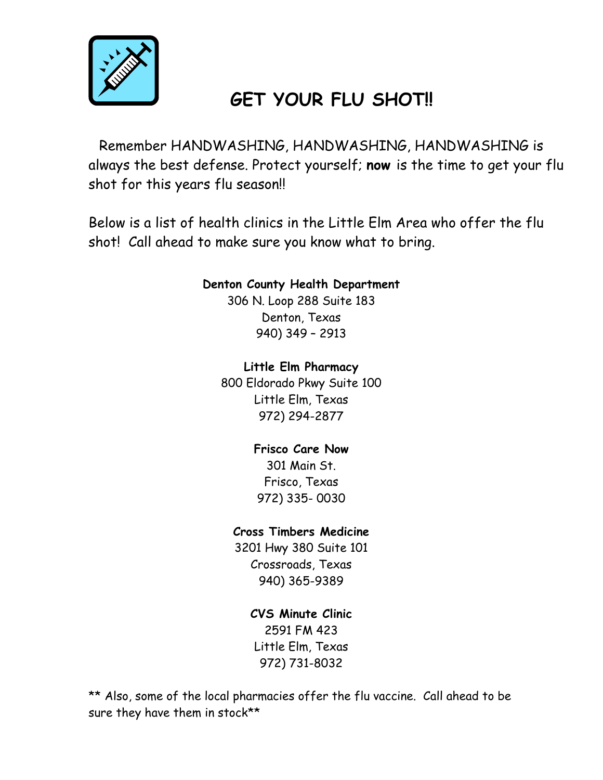

# **GET YOUR FLU SHOT!!**

 Remember HANDWASHING, HANDWASHING, HANDWASHING is always the best defense. Protect yourself; **now** is the time to get your flu shot for this years flu season!!

Below is a list of health clinics in the Little Elm Area who offer the flu shot! Call ahead to make sure you know what to bring.

#### **Denton County Health Department**

306 N. Loop 288 Suite 183 Denton, Texas 940) 349 – 2913

#### **Little Elm Pharmacy**

800 Eldorado Pkwy Suite 100 Little Elm, Texas 972) 294-2877

### **Frisco Care Now**

301 Main St. Frisco, Texas 972) 335- 0030

#### **Cross Timbers Medicine**

3201 Hwy 380 Suite 101 Crossroads, Texas 940) 365-9389

### **CVS Minute Clinic**

2591 FM 423 Little Elm, Texas 972) 731-8032

\*\* Also, some of the local pharmacies offer the flu vaccine. Call ahead to be sure they have them in stock\*\*